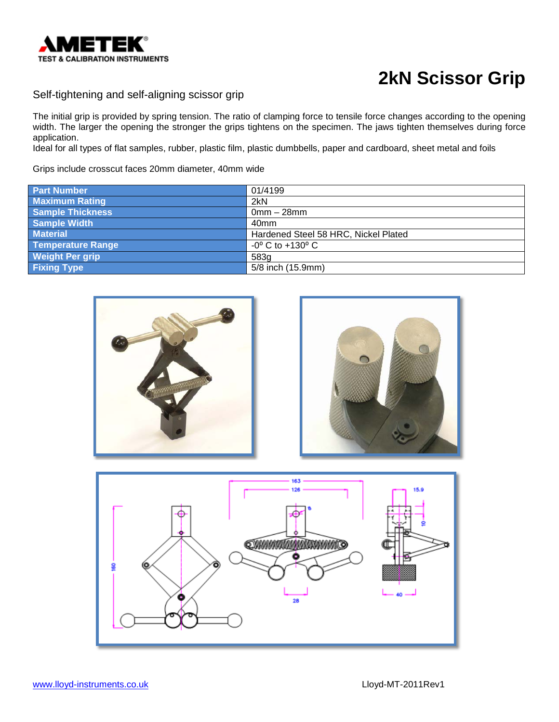

#### Self-tightening and self-aligning scissor grip

The initial grip is provided by spring tension. The ratio of clamping force to tensile force changes according to the opening width. The larger the opening the stronger the grips tightens on the specimen. The jaws tighten themselves during force application.

Ideal for all types of flat samples, rubber, plastic film, plastic dumbbells, paper and cardboard, sheet metal and foils

Grips include crosscut faces 20mm diameter, 40mm wide

| <b>Part Number</b>     | 01/4199                              |
|------------------------|--------------------------------------|
| <b>Maximum Rating</b>  | 2kN                                  |
| Sample Thickness       | $0$ mm $-28$ mm                      |
| <b>Sample Width</b>    | 40 <sub>mm</sub>                     |
| <b>Material</b>        | Hardened Steel 58 HRC, Nickel Plated |
| Temperature Range      | $-0^{\circ}$ C to $+130^{\circ}$ C   |
| <b>Weight Per grip</b> | 583g                                 |
| <b>Fixing Type</b>     | 5/8 inch (15.9mm)                    |





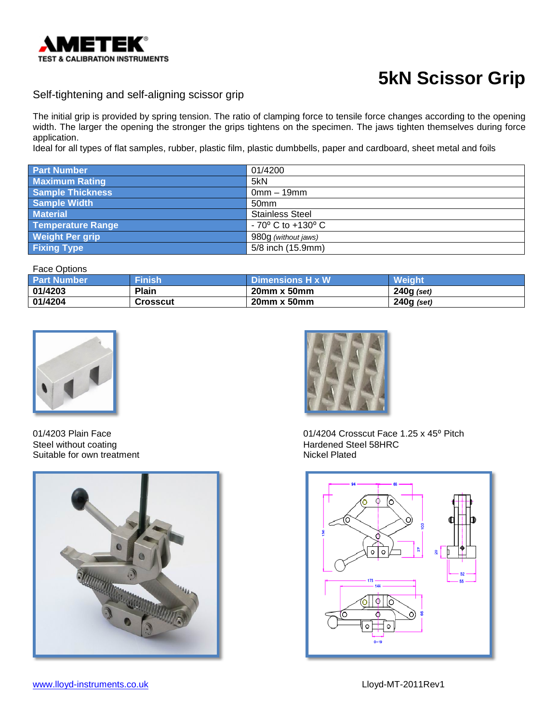

#### Self-tightening and self-aligning scissor grip

The initial grip is provided by spring tension. The ratio of clamping force to tensile force changes according to the opening width. The larger the opening the stronger the grips tightens on the specimen. The jaws tighten themselves during force application.

Ideal for all types of flat samples, rubber, plastic film, plastic dumbbells, paper and cardboard, sheet metal and foils

| <b>Part Number</b><br>01/4200                                   |
|-----------------------------------------------------------------|
|                                                                 |
| <b>Maximum Rating</b><br>5kN                                    |
| <b>Sample Thickness</b><br>$0mm - 19mm$                         |
| <b>Sample Width</b><br>50 <sub>mm</sub>                         |
| <b>Stainless Steel</b><br><b>Material</b>                       |
| <b>Temperature Range</b><br>$-70^{\circ}$ C to $+130^{\circ}$ C |
| <b>Weight Per grip</b><br>980g (without jaws)                   |
| 5/8 inch (15.9mm)<br><b>Fixing Type</b>                         |

Face Options

| .                  |                |                         |               |
|--------------------|----------------|-------------------------|---------------|
| <b>Part Number</b> | <b>IFinish</b> | <b>Dimensions H x W</b> | <b>Weiaht</b> |
| 01/4203            | Plain          | $20mm \times 50mm$      | $240g$ (set)  |
| 01/4204            | Crosscut       | 20mm x 50mm             | 240g (set)    |



Steel without coating extensive the Hardened Steel 58HRC Suitable for own treatment Nickel Plated Nickel Plated





01/4203 Plain Face **01/4204 Crosscut Face 1.25 x 45**° Pitch

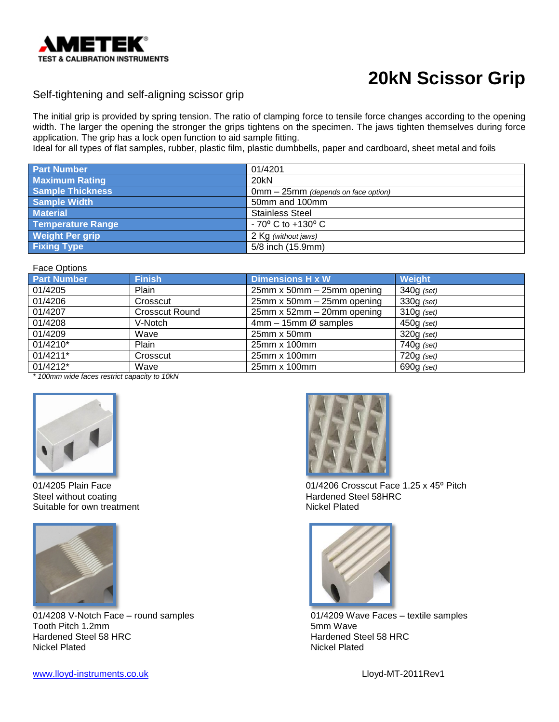

#### Self-tightening and self-aligning scissor grip

The initial grip is provided by spring tension. The ratio of clamping force to tensile force changes according to the opening width. The larger the opening the stronger the grips tightens on the specimen. The jaws tighten themselves during force application. The grip has a lock open function to aid sample fitting.

Ideal for all types of flat samples, rubber, plastic film, plastic dumbbells, paper and cardboard, sheet metal and foils

| <b>Part Number</b>       | 01/4201                             |
|--------------------------|-------------------------------------|
| <b>Maximum Rating</b>    | 20kN                                |
| <b>Sample Thickness</b>  | 0mm - 25mm (depends on face option) |
| <b>Sample Width</b>      | 50mm and 100mm                      |
| <b>Material</b>          | <b>Stainless Steel</b>              |
| <b>Temperature Range</b> | $-70^{\circ}$ C to $+130^{\circ}$ C |
| <b>Weight Per grip</b>   | 2 Kg (without jaws)                 |
| <b>Fixing Type</b>       | 5/8 inch (15.9mm)                   |

Face Options

| <b>Part Number</b> | <b>Finish</b>         | <b>Dimensions H x W</b>         | Weight       |
|--------------------|-----------------------|---------------------------------|--------------|
| 01/4205            | Plain                 | 25mm x 50mm - 25mm opening      | $340g$ (set) |
| 01/4206            | Crosscut              | $25$ mm x 50mm $-$ 25mm opening | $330g$ (set) |
| 01/4207            | <b>Crosscut Round</b> | $25$ mm x 52mm $-$ 20mm opening | $310g$ (set) |
| 01/4208            | V-Notch               | $4mm - 15mm \oslash$ samples    | $450g$ (set) |
| 01/4209            | Wave                  | $25$ mm x $50$ mm               | $320g$ (set) |
| 01/4210*           | Plain                 | 25mm x 100mm                    | $740g$ (set) |
| 01/4211*           | Crosscut              | 25mm x 100mm                    | $720g$ (set) |
| 01/4212*           | Wave                  | 25mm x 100mm                    | $690g$ (set) |
|                    |                       |                                 |              |

*\* 100mm wide faces restrict capacity to 10kN*



Suitable for own treatment



01/4208 V-Notch Face – round samples  $01/4209$  Wave Faces – textile samples Tooth Pitch 1.2mm Tooth Pitch 1.2mm<br>Hardened Steel 58 HRC Hardened Steel 58 HRC **Hardened Steel 58 HRC** Hardened Steel 58 HRC Hardened Steel 58 HRC



01/4205 Plain Face<br>
Steel without coating<br>
Steel without coating<br>
Only the Mardened Steel 58HRC Hardened Steel 58HRC<br>Nickel Plated



**Nickel Plated** 

[www.lloyd-instruments.co.uk](http://www.lloyd-instruments.co.uk/) Lloyd-MT-2011Rev1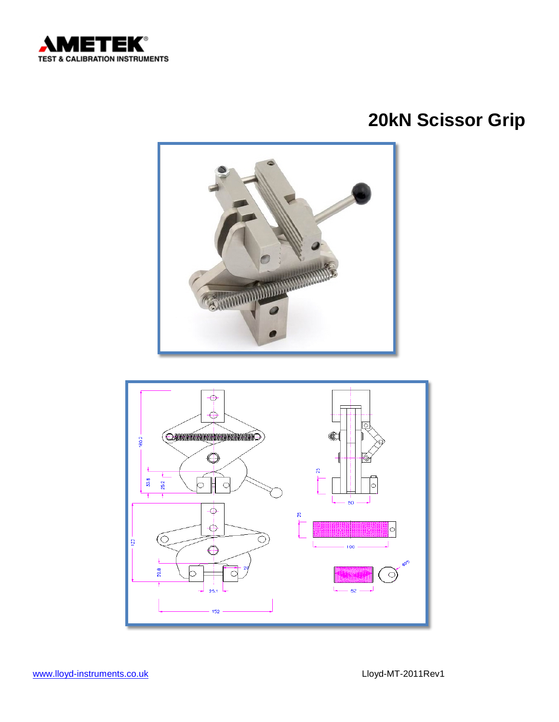